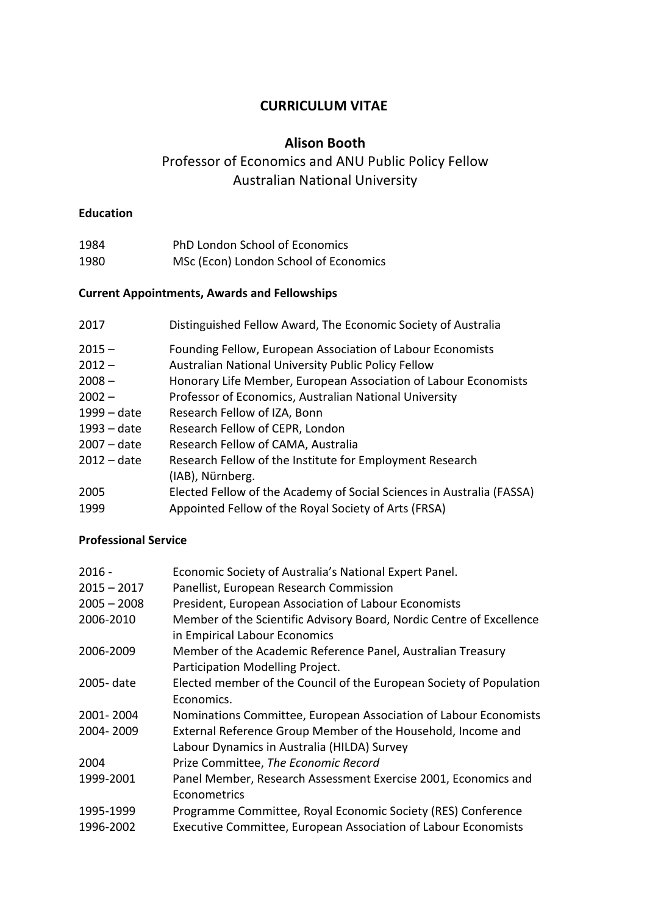## **CURRICULUM VITAE**

## **Alison Booth**

# Professor of Economics and ANU Public Policy Fellow Australian National University

## **Education**

| 1984 | PhD London School of Economics        |
|------|---------------------------------------|
| 1980 | MSc (Econ) London School of Economics |

## **Current Appointments, Awards and Fellowships**

| 2017        | Distinguished Fellow Award, The Economic Society of Australia         |
|-------------|-----------------------------------------------------------------------|
| $2015 -$    | Founding Fellow, European Association of Labour Economists            |
| $2012 -$    | Australian National University Public Policy Fellow                   |
| $2008 -$    | Honorary Life Member, European Association of Labour Economists       |
| $2002 -$    | Professor of Economics, Australian National University                |
| 1999 – date | Research Fellow of IZA, Bonn                                          |
| 1993 – date | Research Fellow of CEPR, London                                       |
| 2007 – date | Research Fellow of CAMA, Australia                                    |
| 2012 – date | Research Fellow of the Institute for Employment Research              |
|             | (IAB), Nürnberg.                                                      |
| 2005        | Elected Fellow of the Academy of Social Sciences in Australia (FASSA) |
| 1999        | Appointed Fellow of the Royal Society of Arts (FRSA)                  |

## **Professional Service**

| $2016 -$      | Economic Society of Australia's National Expert Panel.               |
|---------------|----------------------------------------------------------------------|
| $2015 - 2017$ | Panellist, European Research Commission                              |
| $2005 - 2008$ | President, European Association of Labour Economists                 |
| 2006-2010     | Member of the Scientific Advisory Board, Nordic Centre of Excellence |
|               | in Empirical Labour Economics                                        |
| 2006-2009     | Member of the Academic Reference Panel, Australian Treasury          |
|               | Participation Modelling Project.                                     |
| 2005-date     | Elected member of the Council of the European Society of Population  |
|               | Economics.                                                           |
| 2001-2004     | Nominations Committee, European Association of Labour Economists     |
| 2004-2009     | External Reference Group Member of the Household, Income and         |
|               | Labour Dynamics in Australia (HILDA) Survey                          |
| 2004          | Prize Committee, The Economic Record                                 |
| 1999-2001     | Panel Member, Research Assessment Exercise 2001, Economics and       |
|               | Econometrics                                                         |
| 1995-1999     | Programme Committee, Royal Economic Society (RES) Conference         |
| 1996-2002     | Executive Committee, European Association of Labour Economists       |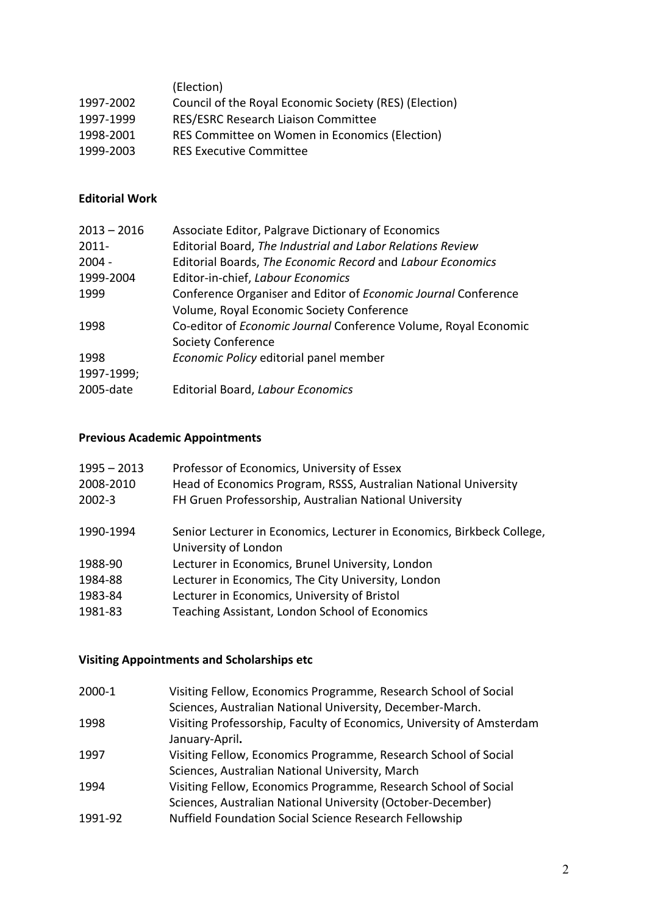| (Election)                                             |
|--------------------------------------------------------|
| Council of the Royal Economic Society (RES) (Election) |
| RES/ESRC Research Liaison Committee                    |
| RES Committee on Women in Economics (Election)         |
| <b>RES Executive Committee</b>                         |
|                                                        |

## **Editorial Work**

| $2013 - 2016$ | Associate Editor, Palgrave Dictionary of Economics              |
|---------------|-----------------------------------------------------------------|
| $2011 -$      | Editorial Board, The Industrial and Labor Relations Review      |
| $2004 -$      | Editorial Boards, The Economic Record and Labour Economics      |
| 1999-2004     | Editor-in-chief, Labour Economics                               |
| 1999          | Conference Organiser and Editor of Economic Journal Conference  |
|               | Volume, Royal Economic Society Conference                       |
| 1998          | Co-editor of Economic Journal Conference Volume, Royal Economic |
|               | <b>Society Conference</b>                                       |
| 1998          | Economic Policy editorial panel member                          |
| 1997-1999;    |                                                                 |
| 2005-date     | <b>Editorial Board, Labour Economics</b>                        |
|               |                                                                 |

## **Previous Academic Appointments**

| $1995 - 2013$<br>2008-2010<br>$2002 - 3$ | Professor of Economics, University of Essex<br>Head of Economics Program, RSSS, Australian National University<br>FH Gruen Professorship, Australian National University |
|------------------------------------------|--------------------------------------------------------------------------------------------------------------------------------------------------------------------------|
| 1990-1994                                | Senior Lecturer in Economics, Lecturer in Economics, Birkbeck College,<br>University of London                                                                           |
| 1988-90                                  | Lecturer in Economics, Brunel University, London                                                                                                                         |
| 1984-88                                  | Lecturer in Economics, The City University, London                                                                                                                       |
| 1983-84                                  | Lecturer in Economics, University of Bristol                                                                                                                             |
| 1981-83                                  | Teaching Assistant, London School of Economics                                                                                                                           |
|                                          |                                                                                                                                                                          |

# **Visiting Appointments and Scholarships etc**

| 2000-1  | Visiting Fellow, Economics Programme, Research School of Social       |
|---------|-----------------------------------------------------------------------|
|         | Sciences, Australian National University, December-March.             |
| 1998    | Visiting Professorship, Faculty of Economics, University of Amsterdam |
|         | January-April.                                                        |
| 1997    | Visiting Fellow, Economics Programme, Research School of Social       |
|         | Sciences, Australian National University, March                       |
| 1994    | Visiting Fellow, Economics Programme, Research School of Social       |
|         | Sciences, Australian National University (October-December)           |
| 1991-92 | Nuffield Foundation Social Science Research Fellowship                |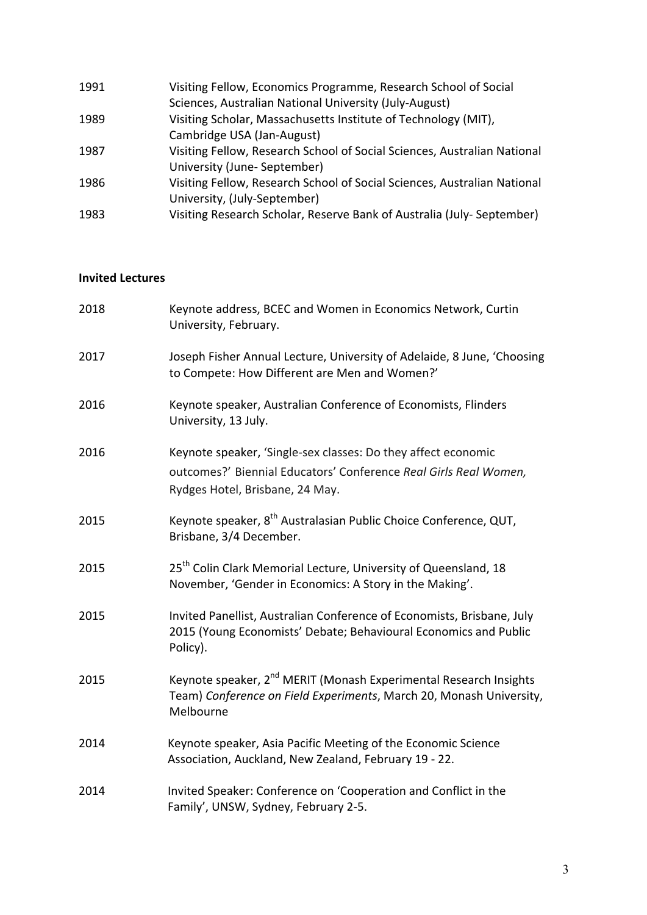| Visiting Fellow, Economics Programme, Research School of Social          |
|--------------------------------------------------------------------------|
| Sciences, Australian National University (July-August)                   |
| Visiting Scholar, Massachusetts Institute of Technology (MIT),           |
| Cambridge USA (Jan-August)                                               |
| Visiting Fellow, Research School of Social Sciences, Australian National |
| University (June-September)                                              |
| Visiting Fellow, Research School of Social Sciences, Australian National |
| University, (July-September)                                             |
| Visiting Research Scholar, Reserve Bank of Australia (July-September)    |
|                                                                          |

#### **Invited Lectures**

| 2018 | Keynote address, BCEC and Women in Economics Network, Curtin<br>University, February.                                                                                |
|------|----------------------------------------------------------------------------------------------------------------------------------------------------------------------|
| 2017 | Joseph Fisher Annual Lecture, University of Adelaide, 8 June, 'Choosing<br>to Compete: How Different are Men and Women?'                                             |
| 2016 | Keynote speaker, Australian Conference of Economists, Flinders<br>University, 13 July.                                                                               |
| 2016 | Keynote speaker, 'Single-sex classes: Do they affect economic<br>outcomes?' Biennial Educators' Conference Real Girls Real Women,<br>Rydges Hotel, Brisbane, 24 May. |
| 2015 | Keynote speaker, 8 <sup>th</sup> Australasian Public Choice Conference, QUT,<br>Brisbane, 3/4 December.                                                              |
| 2015 | 25 <sup>th</sup> Colin Clark Memorial Lecture, University of Queensland, 18<br>November, 'Gender in Economics: A Story in the Making'.                               |
| 2015 | Invited Panellist, Australian Conference of Economists, Brisbane, July<br>2015 (Young Economists' Debate; Behavioural Economics and Public<br>Policy).               |
| 2015 | Keynote speaker, 2 <sup>nd</sup> MERIT (Monash Experimental Research Insights<br>Team) Conference on Field Experiments, March 20, Monash University,<br>Melbourne    |
| 2014 | Keynote speaker, Asia Pacific Meeting of the Economic Science<br>Association, Auckland, New Zealand, February 19 - 22.                                               |
| 2014 | Invited Speaker: Conference on 'Cooperation and Conflict in the<br>Family', UNSW, Sydney, February 2-5.                                                              |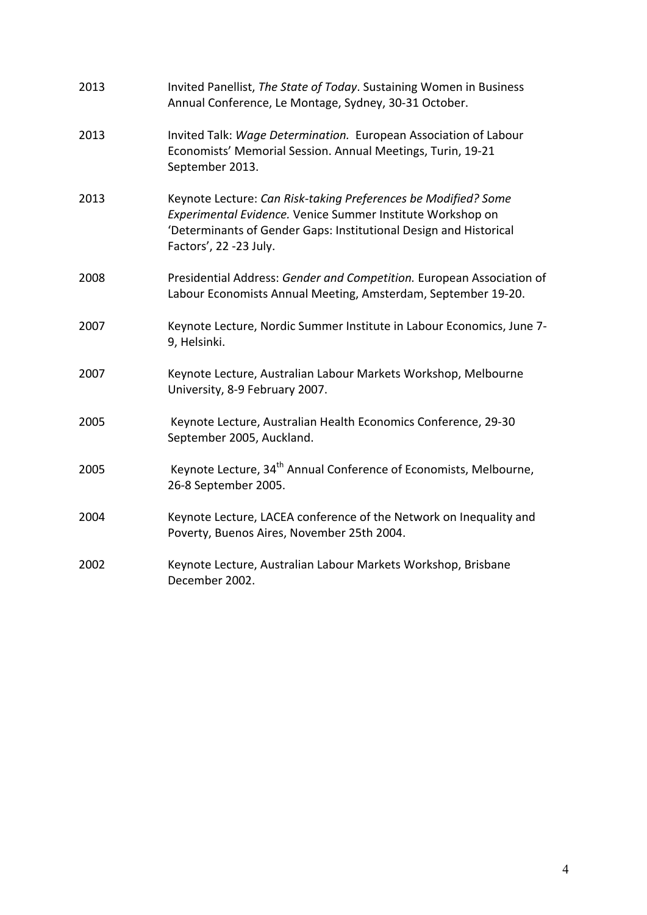| 2013 | Invited Panellist, The State of Today. Sustaining Women in Business<br>Annual Conference, Le Montage, Sydney, 30-31 October.                                                                                                |
|------|-----------------------------------------------------------------------------------------------------------------------------------------------------------------------------------------------------------------------------|
| 2013 | Invited Talk: Wage Determination. European Association of Labour<br>Economists' Memorial Session. Annual Meetings, Turin, 19-21<br>September 2013.                                                                          |
| 2013 | Keynote Lecture: Can Risk-taking Preferences be Modified? Some<br>Experimental Evidence. Venice Summer Institute Workshop on<br>'Determinants of Gender Gaps: Institutional Design and Historical<br>Factors', 22 -23 July. |
| 2008 | Presidential Address: Gender and Competition. European Association of<br>Labour Economists Annual Meeting, Amsterdam, September 19-20.                                                                                      |
| 2007 | Keynote Lecture, Nordic Summer Institute in Labour Economics, June 7-<br>9, Helsinki.                                                                                                                                       |
| 2007 | Keynote Lecture, Australian Labour Markets Workshop, Melbourne<br>University, 8-9 February 2007.                                                                                                                            |
| 2005 | Keynote Lecture, Australian Health Economics Conference, 29-30<br>September 2005, Auckland.                                                                                                                                 |
| 2005 | Keynote Lecture, 34 <sup>th</sup> Annual Conference of Economists, Melbourne,<br>26-8 September 2005.                                                                                                                       |
| 2004 | Keynote Lecture, LACEA conference of the Network on Inequality and<br>Poverty, Buenos Aires, November 25th 2004.                                                                                                            |
| 2002 | Keynote Lecture, Australian Labour Markets Workshop, Brisbane<br>December 2002.                                                                                                                                             |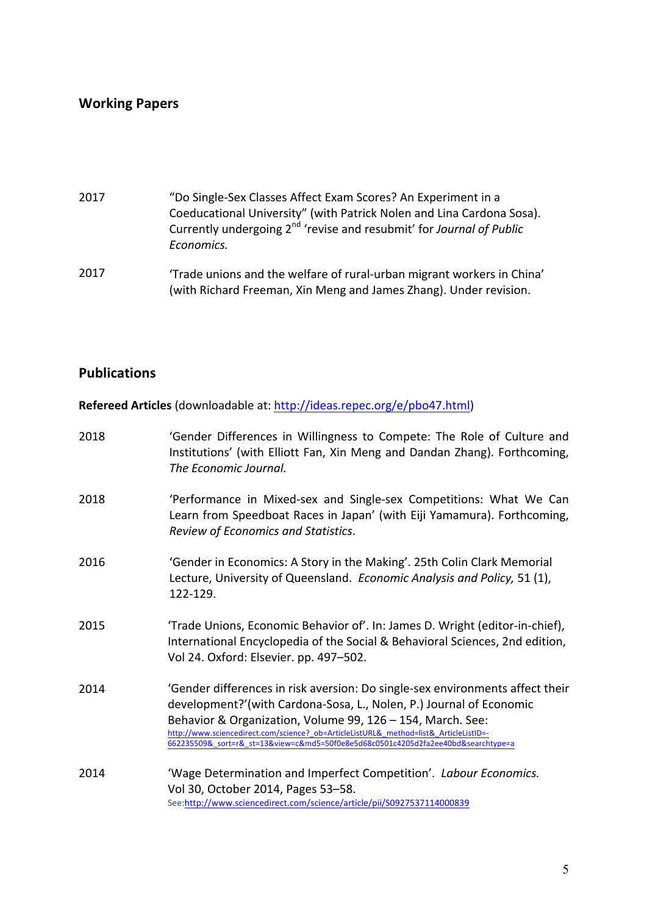## **Working Papers**

- 2017 "Do Single-Sex Classes Affect Exam Scores? An Experiment in a Coeducational University" (with Patrick Nolen and Lina Cardona Sosa). Currently undergoing 2<sup>nd</sup> 'revise and resubmit' for *Journal of Public Economics.*
- 2017 'Trade unions and the welfare of rural-urban migrant workers in China' (with Richard Freeman, Xin Meng and James Zhang). Under revision.

### **Publications**

**Refereed Articles** (downloadable at: http://ideas.repec.org/e/pbo47.html)

| 2018 | 'Gender Differences in Willingness to Compete: The Role of Culture and<br>Institutions' (with Elliott Fan, Xin Meng and Dandan Zhang). Forthcoming,<br>The Economic Journal.                                                                                                                                                                                                                     |
|------|--------------------------------------------------------------------------------------------------------------------------------------------------------------------------------------------------------------------------------------------------------------------------------------------------------------------------------------------------------------------------------------------------|
| 2018 | 'Performance in Mixed-sex and Single-sex Competitions: What We Can<br>Learn from Speedboat Races in Japan' (with Eiji Yamamura). Forthcoming,<br>Review of Economics and Statistics.                                                                                                                                                                                                             |
| 2016 | 'Gender in Economics: A Story in the Making'. 25th Colin Clark Memorial<br>Lecture, University of Queensland. Economic Analysis and Policy, 51 (1),<br>122-129.                                                                                                                                                                                                                                  |
| 2015 | 'Trade Unions, Economic Behavior of'. In: James D. Wright (editor-in-chief),<br>International Encyclopedia of the Social & Behavioral Sciences, 2nd edition,<br>Vol 24. Oxford: Elsevier. pp. 497-502.                                                                                                                                                                                           |
| 2014 | 'Gender differences in risk aversion: Do single-sex environments affect their<br>development?'(with Cardona-Sosa, L., Nolen, P.) Journal of Economic<br>Behavior & Organization, Volume 99, 126 - 154, March. See:<br>http://www.sciencedirect.com/science? ob=ArticleListURL& method=list& ArticleListID=-<br>662235509&_sort=r&_st=13&view=c&md5=50f0e8e5d68c0501c4205d2fa2ee40bd&searchtype=a |
| 2014 | 'Wage Determination and Imperfect Competition'. Labour Economics.<br>Vol 30, October 2014, Pages 53-58.<br>See:http://www.sciencedirect.com/science/article/pii/S0927537114000839                                                                                                                                                                                                                |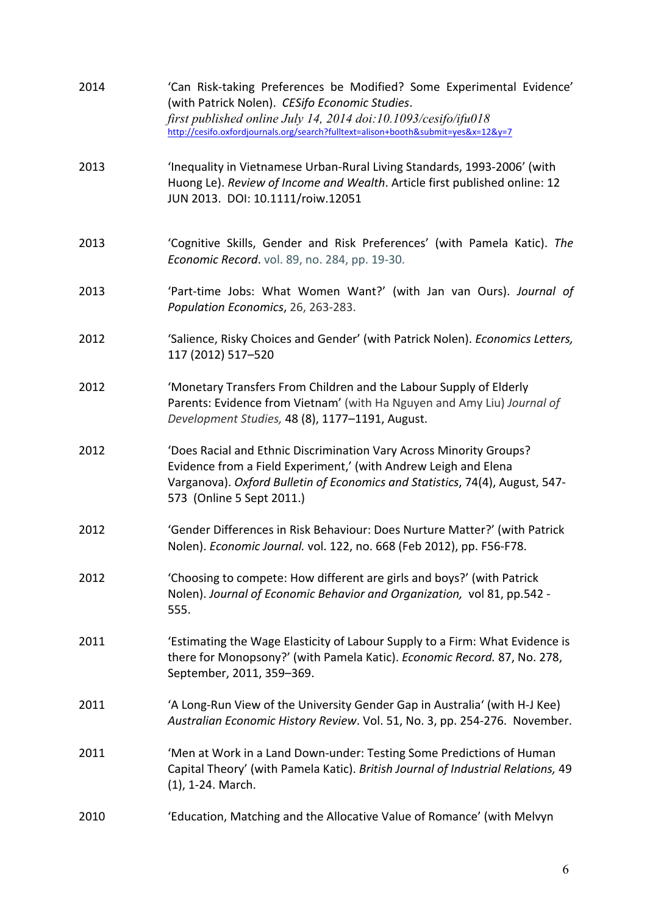| 2014 | 'Can Risk-taking Preferences be Modified? Some Experimental Evidence'<br>(with Patrick Nolen). CESifo Economic Studies.<br>first published online July 14, 2014 doi:10.1093/cesifo/ifu018<br>http://cesifo.oxfordjournals.org/search?fulltext=alison+booth&submit=yes&x=12&y=7 |
|------|--------------------------------------------------------------------------------------------------------------------------------------------------------------------------------------------------------------------------------------------------------------------------------|
| 2013 | 'Inequality in Vietnamese Urban-Rural Living Standards, 1993-2006' (with<br>Huong Le). Review of Income and Wealth. Article first published online: 12<br>JUN 2013. DOI: 10.1111/roiw.12051                                                                                    |
| 2013 | 'Cognitive Skills, Gender and Risk Preferences' (with Pamela Katic). The<br>Economic Record. vol. 89, no. 284, pp. 19-30.                                                                                                                                                      |
| 2013 | 'Part-time Jobs: What Women Want?' (with Jan van Ours). Journal of<br>Population Economics, 26, 263-283.                                                                                                                                                                       |
| 2012 | 'Salience, Risky Choices and Gender' (with Patrick Nolen). Economics Letters,<br>117 (2012) 517-520                                                                                                                                                                            |
| 2012 | 'Monetary Transfers From Children and the Labour Supply of Elderly<br>Parents: Evidence from Vietnam' (with Ha Nguyen and Amy Liu) Journal of<br>Development Studies, 48 (8), 1177-1191, August.                                                                               |
| 2012 | 'Does Racial and Ethnic Discrimination Vary Across Minority Groups?<br>Evidence from a Field Experiment,' (with Andrew Leigh and Elena<br>Varganova). Oxford Bulletin of Economics and Statistics, 74(4), August, 547-<br>573 (Online 5 Sept 2011.)                            |
| 2012 | 'Gender Differences in Risk Behaviour: Does Nurture Matter?' (with Patrick<br>Nolen). Economic Journal. vol. 122, no. 668 (Feb 2012), pp. F56-F78.                                                                                                                             |
| 2012 | 'Choosing to compete: How different are girls and boys?' (with Patrick<br>Nolen). Journal of Economic Behavior and Organization, vol 81, pp.542 -<br>555.                                                                                                                      |
| 2011 | 'Estimating the Wage Elasticity of Labour Supply to a Firm: What Evidence is<br>there for Monopsony?' (with Pamela Katic). Economic Record. 87, No. 278,<br>September, 2011, 359-369.                                                                                          |
| 2011 | 'A Long-Run View of the University Gender Gap in Australia' (with H-J Kee)<br>Australian Economic History Review. Vol. 51, No. 3, pp. 254-276. November.                                                                                                                       |
| 2011 | 'Men at Work in a Land Down-under: Testing Some Predictions of Human<br>Capital Theory' (with Pamela Katic). British Journal of Industrial Relations, 49<br>$(1)$ , 1-24. March.                                                                                               |
| 2010 | 'Education, Matching and the Allocative Value of Romance' (with Melvyn                                                                                                                                                                                                         |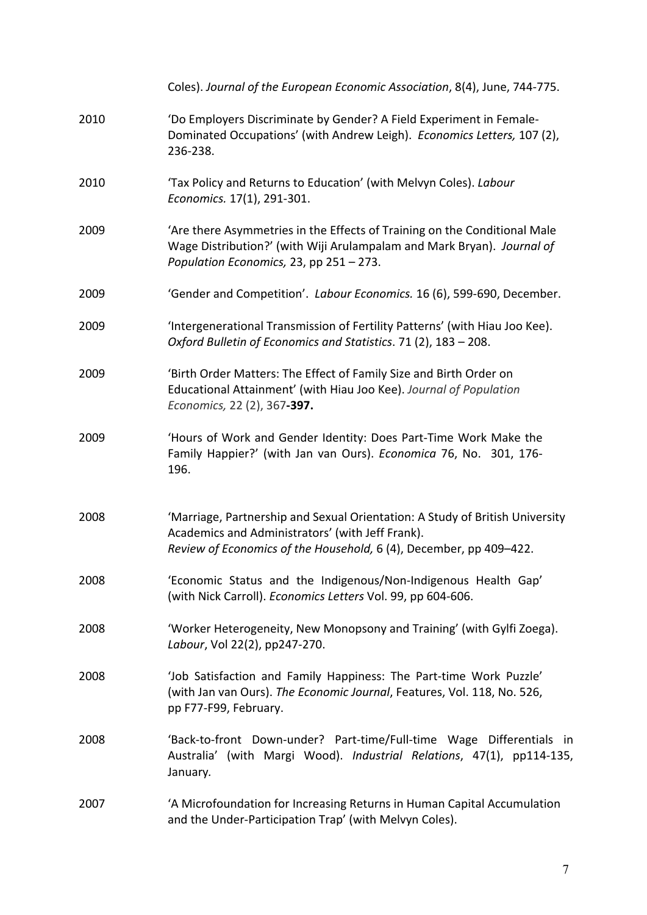|      | Coles). Journal of the European Economic Association, 8(4), June, 744-775.                                                                                                                             |
|------|--------------------------------------------------------------------------------------------------------------------------------------------------------------------------------------------------------|
| 2010 | 'Do Employers Discriminate by Gender? A Field Experiment in Female-<br>Dominated Occupations' (with Andrew Leigh). Economics Letters, 107 (2),<br>236-238.                                             |
| 2010 | 'Tax Policy and Returns to Education' (with Melvyn Coles). Labour<br>Economics. 17(1), 291-301.                                                                                                        |
| 2009 | 'Are there Asymmetries in the Effects of Training on the Conditional Male<br>Wage Distribution?' (with Wiji Arulampalam and Mark Bryan). Journal of<br>Population Economics, 23, pp 251 - 273.         |
| 2009 | 'Gender and Competition'. Labour Economics. 16 (6), 599-690, December.                                                                                                                                 |
| 2009 | 'Intergenerational Transmission of Fertility Patterns' (with Hiau Joo Kee).<br>Oxford Bulletin of Economics and Statistics. 71 (2), 183 - 208.                                                         |
| 2009 | 'Birth Order Matters: The Effect of Family Size and Birth Order on<br>Educational Attainment' (with Hiau Joo Kee). Journal of Population<br>Economics, 22 (2), 367-397.                                |
| 2009 | 'Hours of Work and Gender Identity: Does Part-Time Work Make the<br>Family Happier?' (with Jan van Ours). Economica 76, No. 301, 176-<br>196.                                                          |
| 2008 | 'Marriage, Partnership and Sexual Orientation: A Study of British University<br>Academics and Administrators' (with Jeff Frank).<br>Review of Economics of the Household, 6 (4), December, pp 409-422. |
| 2008 | 'Economic Status and the Indigenous/Non-Indigenous Health Gap'<br>(with Nick Carroll). Economics Letters Vol. 99, pp 604-606.                                                                          |
| 2008 | 'Worker Heterogeneity, New Monopsony and Training' (with Gylfi Zoega).<br>Labour, Vol 22(2), pp247-270.                                                                                                |
| 2008 | 'Job Satisfaction and Family Happiness: The Part-time Work Puzzle'<br>(with Jan van Ours). The Economic Journal, Features, Vol. 118, No. 526,<br>pp F77-F99, February.                                 |
| 2008 | 'Back-to-front Down-under? Part-time/Full-time Wage Differentials in<br>Australia' (with Margi Wood). Industrial Relations, 47(1), pp114-135,<br>January.                                              |
| 2007 | 'A Microfoundation for Increasing Returns in Human Capital Accumulation<br>and the Under-Participation Trap' (with Melvyn Coles).                                                                      |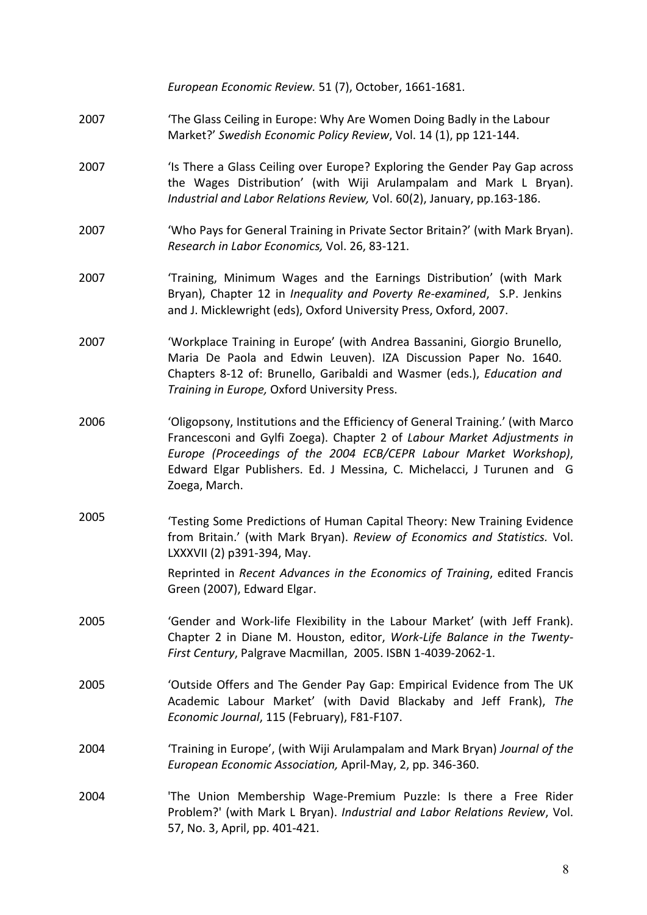*European Economic Review.* 51 (7), October, 1661-1681. 2007 **The Glass Ceiling in Europe: Why Are Women Doing Badly in the Labour** Market?' Swedish Economic Policy Review, Vol. 14 (1), pp 121-144. 2007 'Is There a Glass Ceiling over Europe? Exploring the Gender Pay Gap across the Wages Distribution' (with Wiji Arulampalam and Mark L Bryan). Industrial and Labor Relations Review, Vol. 60(2), January, pp.163-186. 2007 'Who Pays for General Training in Private Sector Britain?' (with Mark Bryan). *Research in Labor Economics,* Vol. 26, 83-121. 2007 Training, Minimum Wages and the Earnings Distribution' (with Mark Bryan), Chapter 12 in *Inequality and Poverty Re-examined*, S.P. Jenkins and J. Micklewright (eds), Oxford University Press, Oxford, 2007. 2007 'Workplace Training in Europe' (with Andrea Bassanini, Giorgio Brunello, Maria De Paola and Edwin Leuven). IZA Discussion Paper No. 1640. Chapters 8-12 of: Brunello, Garibaldi and Wasmer (eds.), *Education and* **Training in Europe, Oxford University Press.** 2006 'Oligopsony, Institutions and the Efficiency of General Training.' (with Marco Francesconi and Gylfi Zoega). Chapter 2 of *Labour Market Adjustments in* Europe (Proceedings of the 2004 ECB/CEPR Labour Market Workshop), Edward Elgar Publishers. Ed. J Messina, C. Michelacci, J Turunen and G Zoega, March. 2005 Testing Some Predictions of Human Capital Theory: New Training Evidence from Britain.' (with Mark Bryan). *Review of Economics and Statistics.* Vol. LXXXVII (2) p391-394, May. Reprinted in *Recent Advances in the Economics of Training*, edited Francis Green (2007), Edward Elgar. 2005 'Gender and Work-life Flexibility in the Labour Market' (with Jeff Frank). Chapter 2 in Diane M. Houston, editor, *Work-Life Balance in the Twenty-*First Century, Palgrave Macmillan, 2005. ISBN 1-4039-2062-1. 2005 'Outside Offers and The Gender Pay Gap: Empirical Evidence from The UK Academic Labour Market' (with David Blackaby and Jeff Frank), The *Economic Journal*, 115 (February), F81-F107. 2004 'Training in Europe', (with Wiji Arulampalam and Mark Bryan) *Journal of the European Economic Association,* April-May, 2, pp. 346-360. 2004 'The Union Membership Wage-Premium Puzzle: Is there a Free Rider Problem?' (with Mark L Bryan). *Industrial and Labor Relations Review*, Vol. 57, No. 3, April, pp. 401-421.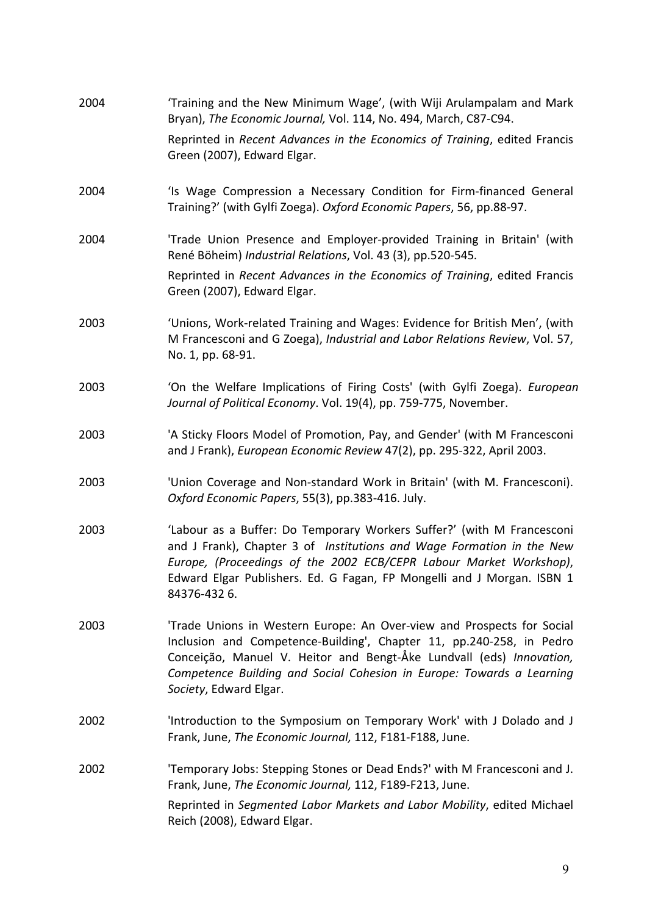| 2004 | 'Training and the New Minimum Wage', (with Wiji Arulampalam and Mark<br>Bryan), The Economic Journal, Vol. 114, No. 494, March, C87-C94.                                                                                                                                                                                  |
|------|---------------------------------------------------------------------------------------------------------------------------------------------------------------------------------------------------------------------------------------------------------------------------------------------------------------------------|
|      | Reprinted in Recent Advances in the Economics of Training, edited Francis<br>Green (2007), Edward Elgar.                                                                                                                                                                                                                  |
| 2004 | 'Is Wage Compression a Necessary Condition for Firm-financed General<br>Training?' (with Gylfi Zoega). Oxford Economic Papers, 56, pp.88-97.                                                                                                                                                                              |
| 2004 | 'Trade Union Presence and Employer-provided Training in Britain' (with<br>René Böheim) Industrial Relations, Vol. 43 (3), pp.520-545.                                                                                                                                                                                     |
|      | Reprinted in Recent Advances in the Economics of Training, edited Francis<br>Green (2007), Edward Elgar.                                                                                                                                                                                                                  |
| 2003 | 'Unions, Work-related Training and Wages: Evidence for British Men', (with<br>M Francesconi and G Zoega), Industrial and Labor Relations Review, Vol. 57,<br>No. 1, pp. 68-91.                                                                                                                                            |
| 2003 | 'On the Welfare Implications of Firing Costs' (with Gylfi Zoega). European<br>Journal of Political Economy. Vol. 19(4), pp. 759-775, November.                                                                                                                                                                            |
| 2003 | 'A Sticky Floors Model of Promotion, Pay, and Gender' (with M Francesconi<br>and J Frank), European Economic Review 47(2), pp. 295-322, April 2003.                                                                                                                                                                       |
| 2003 | 'Union Coverage and Non-standard Work in Britain' (with M. Francesconi).<br>Oxford Economic Papers, 55(3), pp.383-416. July.                                                                                                                                                                                              |
| 2003 | 'Labour as a Buffer: Do Temporary Workers Suffer?' (with M Francesconi<br>and J Frank), Chapter 3 of Institutions and Wage Formation in the New<br>Europe, (Proceedings of the 2002 ECB/CEPR Labour Market Workshop),<br>Edward Elgar Publishers. Ed. G Fagan, FP Mongelli and J Morgan. ISBN 1<br>84376-4326.            |
| 2003 | 'Trade Unions in Western Europe: An Over-view and Prospects for Social<br>Inclusion and Competence-Building', Chapter 11, pp.240-258, in Pedro<br>Conceição, Manuel V. Heitor and Bengt-Åke Lundvall (eds) Innovation,<br>Competence Building and Social Cohesion in Europe: Towards a Learning<br>Society, Edward Elgar. |
| 2002 | 'Introduction to the Symposium on Temporary Work' with J Dolado and J<br>Frank, June, The Economic Journal, 112, F181-F188, June.                                                                                                                                                                                         |
| 2002 | 'Temporary Jobs: Stepping Stones or Dead Ends?' with M Francesconi and J.<br>Frank, June, The Economic Journal, 112, F189-F213, June.                                                                                                                                                                                     |
|      | Reprinted in Segmented Labor Markets and Labor Mobility, edited Michael<br>Reich (2008), Edward Elgar.                                                                                                                                                                                                                    |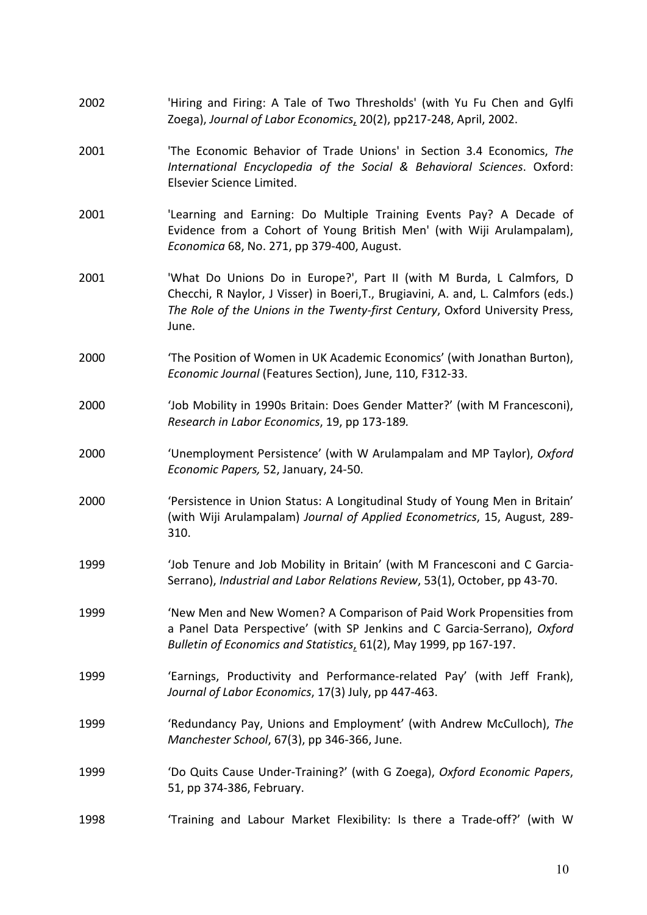| 2002 | 'Hiring and Firing: A Tale of Two Thresholds' (with Yu Fu Chen and Gylfi<br>Zoega), Journal of Labor Economics, 20(2), pp217-248, April, 2002.                                                                                                     |
|------|----------------------------------------------------------------------------------------------------------------------------------------------------------------------------------------------------------------------------------------------------|
| 2001 | 'The Economic Behavior of Trade Unions' in Section 3.4 Economics, The<br>International Encyclopedia of the Social & Behavioral Sciences. Oxford:<br>Elsevier Science Limited.                                                                      |
| 2001 | 'Learning and Earning: Do Multiple Training Events Pay? A Decade of<br>Evidence from a Cohort of Young British Men' (with Wiji Arulampalam),<br>Economica 68, No. 271, pp 379-400, August.                                                         |
| 2001 | 'What Do Unions Do in Europe?', Part II (with M Burda, L Calmfors, D<br>Checchi, R Naylor, J Visser) in Boeri, T., Brugiavini, A. and, L. Calmfors (eds.)<br>The Role of the Unions in the Twenty-first Century, Oxford University Press,<br>June. |
| 2000 | 'The Position of Women in UK Academic Economics' (with Jonathan Burton),<br>Economic Journal (Features Section), June, 110, F312-33.                                                                                                               |
| 2000 | 'Job Mobility in 1990s Britain: Does Gender Matter?' (with M Francesconi),<br>Research in Labor Economics, 19, pp 173-189.                                                                                                                         |
| 2000 | 'Unemployment Persistence' (with W Arulampalam and MP Taylor), Oxford<br>Economic Papers, 52, January, 24-50.                                                                                                                                      |
| 2000 | 'Persistence in Union Status: A Longitudinal Study of Young Men in Britain'<br>(with Wiji Arulampalam) Journal of Applied Econometrics, 15, August, 289-<br>310.                                                                                   |
| 1999 | 'Job Tenure and Job Mobility in Britain' (with M Francesconi and C Garcia-<br>Serrano), Industrial and Labor Relations Review, 53(1), October, pp 43-70.                                                                                           |
| 1999 | 'New Men and New Women? A Comparison of Paid Work Propensities from<br>a Panel Data Perspective' (with SP Jenkins and C Garcia-Serrano), Oxford<br>Bulletin of Economics and Statistics, 61(2), May 1999, pp 167-197.                              |
| 1999 | 'Earnings, Productivity and Performance-related Pay' (with Jeff Frank),<br>Journal of Labor Economics, 17(3) July, pp 447-463.                                                                                                                     |
| 1999 | 'Redundancy Pay, Unions and Employment' (with Andrew McCulloch), The<br>Manchester School, 67(3), pp 346-366, June.                                                                                                                                |
| 1999 | 'Do Quits Cause Under-Training?' (with G Zoega), Oxford Economic Papers,<br>51, pp 374-386, February.                                                                                                                                              |
| 1998 | 'Training and Labour Market Flexibility: Is there a Trade-off?' (with W                                                                                                                                                                            |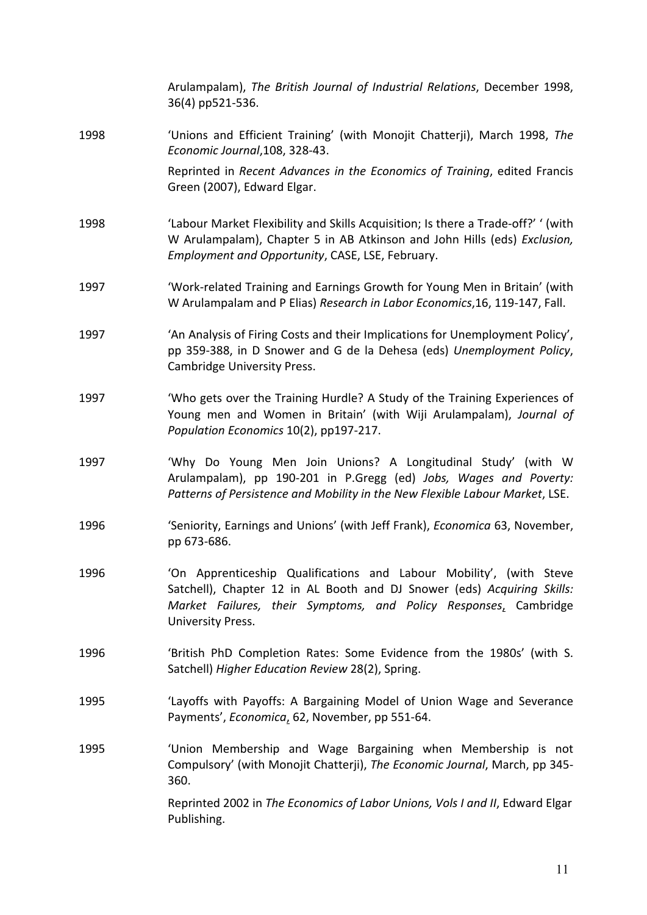|      | Arulampalam), The British Journal of Industrial Relations, December 1998,<br>36(4) pp521-536.                                                                                                                                           |
|------|-----------------------------------------------------------------------------------------------------------------------------------------------------------------------------------------------------------------------------------------|
| 1998 | 'Unions and Efficient Training' (with Monojit Chatterji), March 1998, The<br>Economic Journal, 108, 328-43.                                                                                                                             |
|      | Reprinted in Recent Advances in the Economics of Training, edited Francis<br>Green (2007), Edward Elgar.                                                                                                                                |
| 1998 | 'Labour Market Flexibility and Skills Acquisition; Is there a Trade-off?' ' (with<br>W Arulampalam), Chapter 5 in AB Atkinson and John Hills (eds) Exclusion,<br>Employment and Opportunity, CASE, LSE, February.                       |
| 1997 | 'Work-related Training and Earnings Growth for Young Men in Britain' (with<br>W Arulampalam and P Elias) Research in Labor Economics, 16, 119-147, Fall.                                                                                |
| 1997 | 'An Analysis of Firing Costs and their Implications for Unemployment Policy',<br>pp 359-388, in D Snower and G de la Dehesa (eds) Unemployment Policy,<br>Cambridge University Press.                                                   |
| 1997 | 'Who gets over the Training Hurdle? A Study of the Training Experiences of<br>Young men and Women in Britain' (with Wiji Arulampalam), Journal of<br>Population Economics 10(2), pp197-217.                                             |
| 1997 | 'Why Do Young Men Join Unions? A Longitudinal Study' (with W<br>Arulampalam), pp 190-201 in P.Gregg (ed) Jobs, Wages and Poverty:<br>Patterns of Persistence and Mobility in the New Flexible Labour Market, LSE.                       |
| 1996 | 'Seniority, Earnings and Unions' (with Jeff Frank), Economica 63, November,<br>pp 673-686.                                                                                                                                              |
| 1996 | 'On Apprenticeship Qualifications and Labour Mobility', (with Steve<br>Satchell), Chapter 12 in AL Booth and DJ Snower (eds) Acquiring Skills:<br>Market Failures, their Symptoms, and Policy Responses, Cambridge<br>University Press. |
| 1996 | 'British PhD Completion Rates: Some Evidence from the 1980s' (with S.<br>Satchell) Higher Education Review 28(2), Spring.                                                                                                               |
| 1995 | 'Layoffs with Payoffs: A Bargaining Model of Union Wage and Severance<br>Payments', Economica, 62, November, pp 551-64.                                                                                                                 |
| 1995 | 'Union Membership and Wage Bargaining when Membership is not<br>Compulsory' (with Monojit Chatterji), The Economic Journal, March, pp 345-<br>360.                                                                                      |
|      | Reprinted 2002 in The Economics of Labor Unions, Vols I and II, Edward Elgar<br>Publishing.                                                                                                                                             |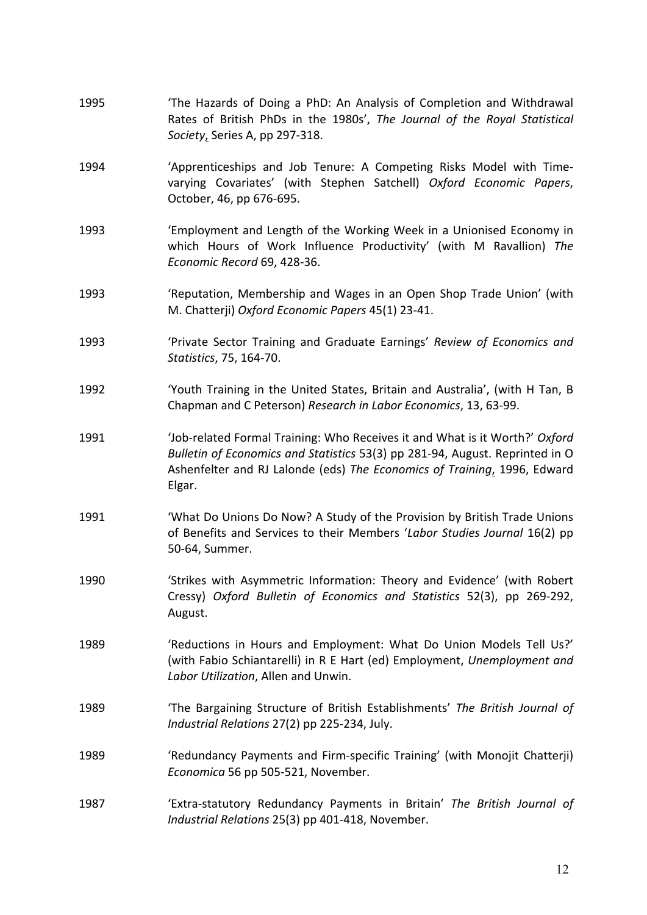- 1995 The Hazards of Doing a PhD: An Analysis of Completion and Withdrawal Rates of British PhDs in the 1980s', The Journal of the Royal Statistical *Society*, Series A, pp 297-318.
- 1994 'Apprenticeships and Job Tenure: A Competing Risks Model with Timevarying Covariates' (with Stephen Satchell) Oxford Economic Papers, October, 46, pp 676-695.
- 1993 'Employment and Length of the Working Week in a Unionised Economy in which Hours of Work Influence Productivity' (with M Ravallion) The *Economic Record* 69, 428-36.
- 1993 'Reputation, Membership and Wages in an Open Shop Trade Union' (with M. Chatterji) *Oxford Economic Papers* 45(1) 23-41.
- 1993 'Private Sector Training and Graduate Earnings' *Review of Economics and Statistics*, 75, 164-70.
- 1992 'Youth Training in the United States, Britain and Australia', (with H Tan, B Chapman and C Peterson) *Research in Labor Economics*, 13, 63-99.
- 1991 'Job-related Formal Training: Who Receives it and What is it Worth?' Oxford *Bulletin of Economics and Statistics* 53(3) pp 281-94, August. Reprinted in O Ashenfelter and RJ Lalonde (eds) The Economics of Training, 1996, Edward Elgar.
- 1991 'What Do Unions Do Now? A Study of the Provision by British Trade Unions of Benefits and Services to their Members '*Labor Studies Journal* 16(2) pp 50-64, Summer.
- 1990 **Strikes** with Asymmetric Information: Theory and Evidence' (with Robert Cressy) *Oxford Bulletin of Economics and Statistics* 52(3), pp 269-292, August.
- 1989 'Reductions in Hours and Employment: What Do Union Models Tell Us?' (with Fabio Schiantarelli) in R E Hart (ed) Employment, Unemployment and **Labor Utilization, Allen and Unwin.**
- 1989 **The Bargaining Structure of British Establishments' The British Journal of** *Industrial Relations* 27(2) pp 225-234, July.
- 1989 'Redundancy Payments and Firm-specific Training' (with Monojit Chatterii) *Economica* 56 pp 505-521, November.
- 1987 'Extra-statutory Redundancy Payments in Britain' The British Journal of *Industrial Relations* 25(3) pp 401-418, November.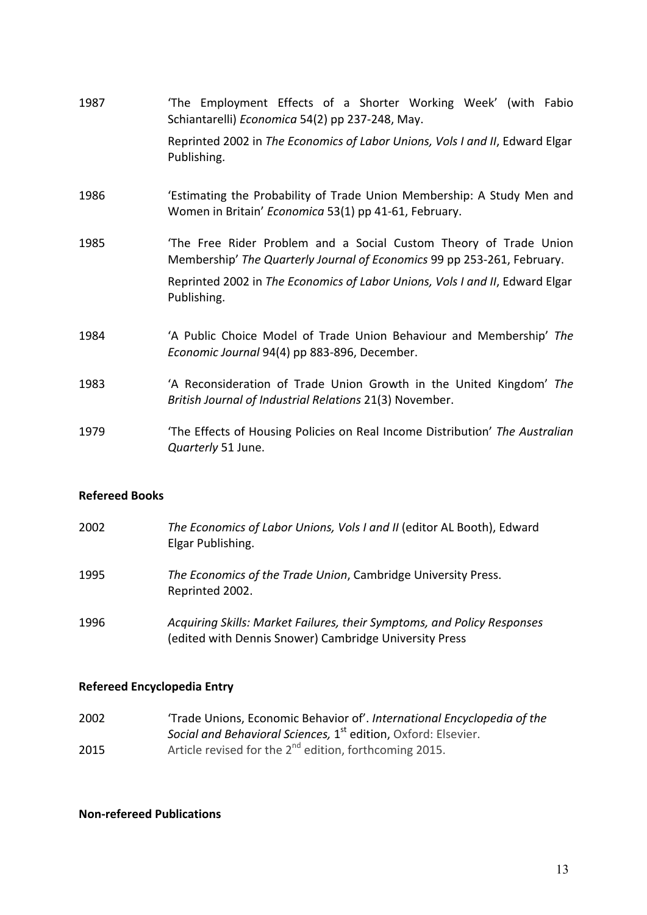| 1987 | 'The Employment Effects of a Shorter Working Week' (with Fabio<br>Schiantarelli) Economica 54(2) pp 237-248, May.                            |
|------|----------------------------------------------------------------------------------------------------------------------------------------------|
|      | Reprinted 2002 in The Economics of Labor Unions, Vols I and II, Edward Elgar<br>Publishing.                                                  |
| 1986 | 'Estimating the Probability of Trade Union Membership: A Study Men and<br>Women in Britain' Economica 53(1) pp 41-61, February.              |
| 1985 | 'The Free Rider Problem and a Social Custom Theory of Trade Union<br>Membership' The Quarterly Journal of Economics 99 pp 253-261, February. |
|      | Reprinted 2002 in The Economics of Labor Unions, Vols I and II, Edward Elgar<br>Publishing.                                                  |
| 1984 | 'A Public Choice Model of Trade Union Behaviour and Membership' The<br>Economic Journal 94(4) pp 883-896, December.                          |
| 1983 | 'A Reconsideration of Trade Union Growth in the United Kingdom' The<br>British Journal of Industrial Relations 21(3) November.               |
| 1979 | 'The Effects of Housing Policies on Real Income Distribution' The Australian<br>Quarterly 51 June.                                           |

#### **Refereed Books**

| 2002 | The Economics of Labor Unions, Vols I and II (editor AL Booth), Edward<br>Elgar Publishing.                                       |
|------|-----------------------------------------------------------------------------------------------------------------------------------|
| 1995 | The Economics of the Trade Union, Cambridge University Press.<br>Reprinted 2002.                                                  |
| 1996 | Acquiring Skills: Market Failures, their Symptoms, and Policy Responses<br>(edited with Dennis Snower) Cambridge University Press |

## **Refereed Encyclopedia Entry**

2002 2015 'Trade Unions, Economic Behavior of'. International Encyclopedia of the *Social and Behavioral Sciences,* 1<sup>st</sup> edition, Oxford: Elsevier. Article revised for the 2<sup>nd</sup> edition, forthcoming 2015.

#### **Non-refereed Publications**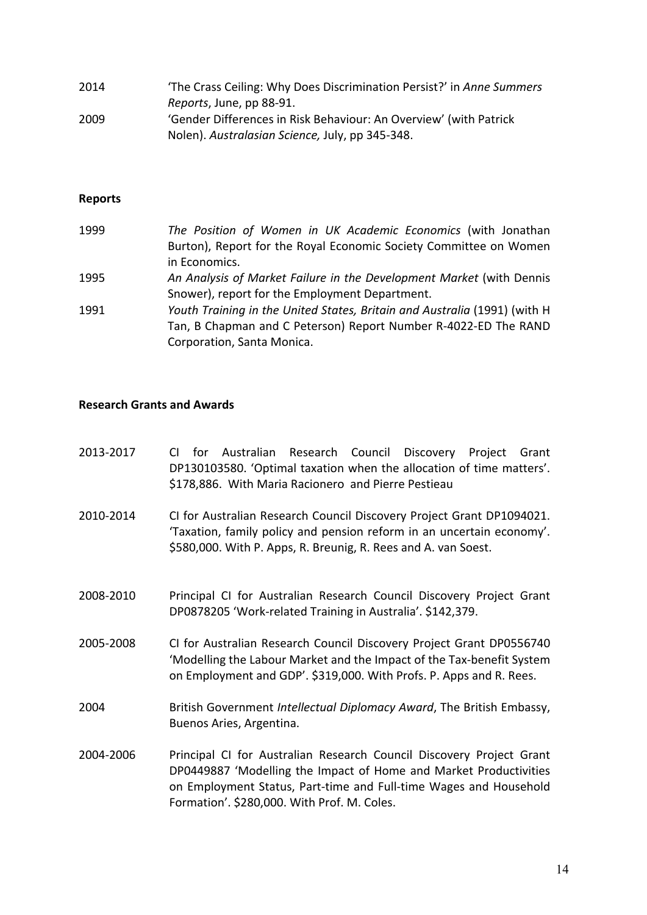| 2014 | 'The Crass Ceiling: Why Does Discrimination Persist?' in Anne Summers |
|------|-----------------------------------------------------------------------|
|      | Reports, June, pp 88-91.                                              |
| 2009 | 'Gender Differences in Risk Behaviour: An Overview' (with Patrick     |
|      | Nolen). Australasian Science, July, pp 345-348.                       |

# **Reports**

| 1999 | The Position of Women in UK Academic Economics (with Jonathan             |
|------|---------------------------------------------------------------------------|
|      | Burton), Report for the Royal Economic Society Committee on Women         |
|      | in Economics.                                                             |
| 1995 | An Analysis of Market Failure in the Development Market (with Dennis      |
|      | Snower), report for the Employment Department.                            |
| 1991 | Youth Training in the United States, Britain and Australia (1991) (with H |
|      | Tan, B Chapman and C Peterson) Report Number R-4022-ED The RAND           |
|      | Corporation, Santa Monica.                                                |

#### **Research Grants and Awards**

| 2013-2017 | Australian Research Council Discovery Project<br>for<br>Grant<br>CI.<br>DP130103580. 'Optimal taxation when the allocation of time matters'.<br>\$178,886. With Maria Racionero and Pierre Pestieau                                                           |
|-----------|---------------------------------------------------------------------------------------------------------------------------------------------------------------------------------------------------------------------------------------------------------------|
| 2010-2014 | CI for Australian Research Council Discovery Project Grant DP1094021.<br>'Taxation, family policy and pension reform in an uncertain economy'.<br>\$580,000. With P. Apps, R. Breunig, R. Rees and A. van Soest.                                              |
| 2008-2010 | Principal CI for Australian Research Council Discovery Project Grant<br>DP0878205 'Work-related Training in Australia'. \$142,379.                                                                                                                            |
| 2005-2008 | CI for Australian Research Council Discovery Project Grant DP0556740<br>'Modelling the Labour Market and the Impact of the Tax-benefit System<br>on Employment and GDP'. \$319,000. With Profs. P. Apps and R. Rees.                                          |
| 2004      | British Government Intellectual Diplomacy Award, The British Embassy,<br>Buenos Aries, Argentina.                                                                                                                                                             |
| 2004-2006 | Principal CI for Australian Research Council Discovery Project Grant<br>DP0449887 'Modelling the Impact of Home and Market Productivities<br>on Employment Status, Part-time and Full-time Wages and Household<br>Formation'. \$280,000. With Prof. M. Coles. |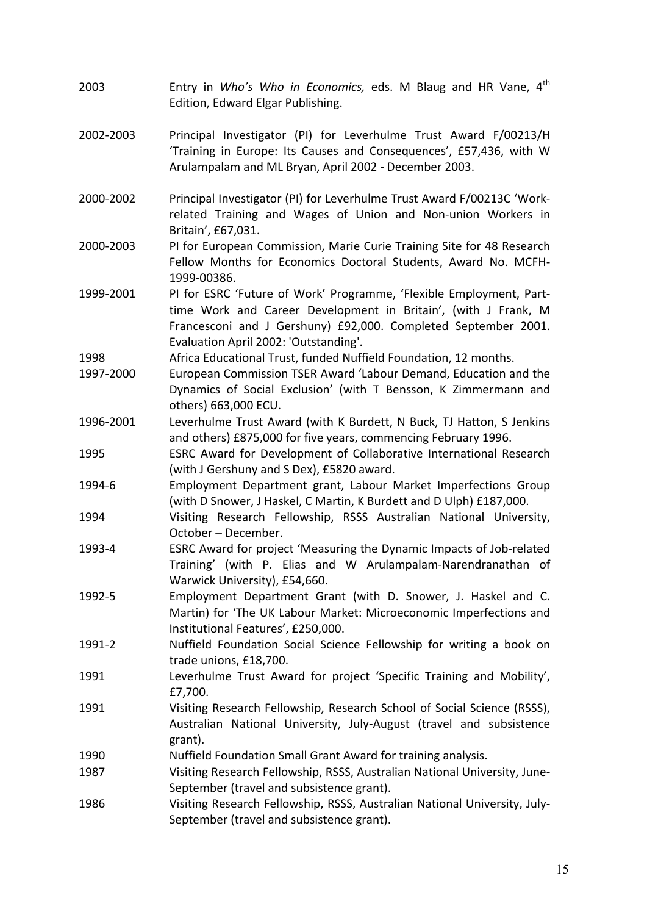- 2003 Entry in *Who's Who in Economics,* eds. M Blaug and HR Vane, 4<sup>th</sup> Edition, Edward Elgar Publishing.
- 2002-2003 Principal Investigator (PI) for Leverhulme Trust Award F/00213/H 'Training in Europe: Its Causes and Consequences', £57,436, with W Arulampalam and ML Bryan, April 2002 - December 2003.
- 2000-2002 Principal Investigator (PI) for Leverhulme Trust Award F/00213C 'Workrelated Training and Wages of Union and Non-union Workers in Britain', £67,031.
- 2000-2003 PI for European Commission, Marie Curie Training Site for 48 Research Fellow Months for Economics Doctoral Students, Award No. MCFH-1999-00386.
- 1999-2001 PI for ESRC 'Future of Work' Programme, 'Flexible Employment, Parttime Work and Career Development in Britain', (with J Frank, M Francesconi and J Gershuny) £92,000. Completed September 2001. Evaluation April 2002: 'Outstanding'.
- 1998 Africa Educational Trust, funded Nuffield Foundation, 12 months.
- 1997-2000 European Commission TSER Award 'Labour Demand, Education and the Dynamics of Social Exclusion' (with T Bensson, K Zimmermann and others) 663,000 ECU.
- 1996-2001 Leverhulme Trust Award (with K Burdett, N Buck, TJ Hatton, S Jenkins and others) £875,000 for five years, commencing February 1996.
- 1995 ESRC Award for Development of Collaborative International Research (with J Gershuny and S Dex), £5820 award.
- 1994-6 **Employment Department grant, Labour Market Imperfections Group** (with D Snower, J Haskel, C Martin, K Burdett and D Ulph) £187,000.
- 1994 **Visiting Research Fellowship, RSSS Australian National University,** October – December.
- 1993-4 ESRC Award for project 'Measuring the Dynamic Impacts of Job-related Training' (with P. Elias and W Arulampalam-Narendranathan of Warwick University), £54,660.
- 1992-5 Employment Department Grant (with D. Snower, J. Haskel and C. Martin) for 'The UK Labour Market: Microeconomic Imperfections and Institutional Features', £250,000.
- 1991-2 Nuffield Foundation Social Science Fellowship for writing a book on trade unions, £18,700.
- 1991 Leverhulme Trust Award for project 'Specific Training and Mobility', £7,700.
- 1991 Visiting Research Fellowship, Research School of Social Science (RSSS), Australian National University, July-August (travel and subsistence grant).
- 1990 **Nuffield Foundation Small Grant Award for training analysis.**
- 1987 Visiting Research Fellowship, RSSS, Australian National University, June-September (travel and subsistence grant).
- 1986 Visiting Research Fellowship, RSSS, Australian National University, July-September (travel and subsistence grant).